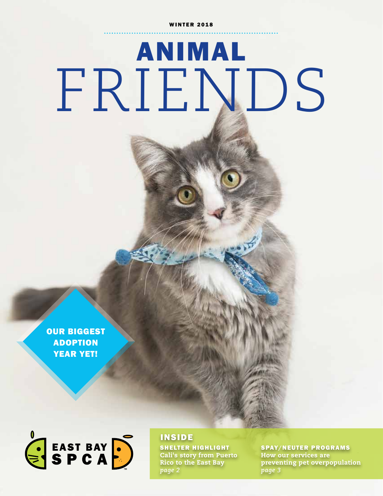# ANIMAL FRIENDS

OUR BIGGEST ADOPTION YEAR YET!



INSIDE

SHELTER HIGHLIGHT Cali's story from Puerto Rico to the East Bay *page 2*

SPAY/NEUTER PROGRAMS How our services are preventing pet overpopulation *page 3*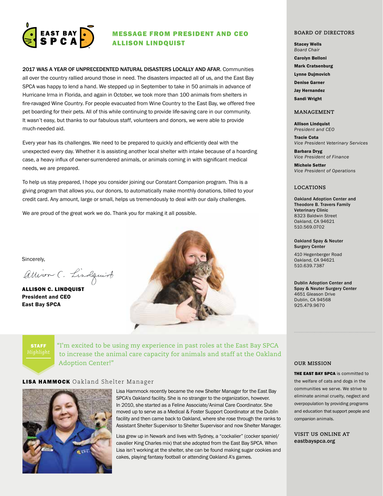

### MESSAGE FROM PRESIDENT AND CEO ALLISON LINDQUIST

2017 WAS A YEAR OF UNPRECEDENTED NATURAL DISASTERS LOCALLY AND AFAR. Communities all over the country rallied around those in need. The disasters impacted all of us, and the East Bay SPCA was happy to lend a hand. We stepped up in September to take in 50 animals in advance of Hurricane Irma in Florida, and again in October, we took more than 100 animals from shelters in fire-ravaged Wine Country. For people evacuated from Wine Country to the East Bay, we offered free pet boarding for their pets. All of this while continuing to provide life-saving care in our community. It wasn't easy, but thanks to our fabulous staff, volunteers and donors, we were able to provide much-needed aid.

Every year has its challenges. We need to be prepared to quickly and efficiently deal with the unexpected every day. Whether it is assisting another local shelter with intake because of a hoarding case, a heavy influx of owner-surrendered animals, or animals coming in with significant medical needs, we are prepared.

To help us stay prepared, I hope you consider joining our Constant Companion program. This is a giving program that allows you, our donors, to automatically make monthly donations, billed to your credit card. Any amount, large or small, helps us tremendously to deal with our daily challenges.

We are proud of the great work we do. Thank you for making it all possible.

Sincerely,

allison C. Lindquist

ALLISON C. LINDQUIST President and CEO East Bay SPCA



STAFF

"I'm excited to be using my experience in past roles at the East Bay SPCA to increase the animal care capacity for animals and staff at the Oakland Adoption Center!"

### LISA HAMMOCK Oakland Shelter Manager



Lisa Hammock recently became the new Shelter Manager for the East Bay SPCA's Oakland facility. She is no stranger to the organization, however. In 2010, she started as a Feline Associate/Animal Care Coordinator. She moved up to serve as a Medical & Foster Support Coordinator at the Dublin facility and then came back to Oakland, where she rose through the ranks to Assistant Shelter Supervisor to Shelter Supervisor and now Shelter Manager.

Lisa grew up in Newark and lives with Sydney, a "cockalier" (cocker spaniel/ cavalier King Charles mix) that she adopted from the East Bay SPCA. When Lisa isn't working at the shelter, she can be found making sugar cookies and cakes, playing fantasy football or attending Oakland A's games.

#### **BOARD OF DIRECTORS**

Stacey Wells *Board Chair*

Carolyn Belloni

Mark Cratsenburg

Lynne Dujmovich

Denise Garner

Jay Hernandez

Sandi Wright

#### **MANAGEMENT**

Allison Lindquist *President and CEO*

Tracie Cota *Vice President Veterinary Services*

Barbara Dryg *Vice President of Finance*

Michele Setter *Vice President of Operations*

### **LOCATIONS**

Oakland Adoption Center and Theodore B. Travers Family Veterinary Clinic 8323 Baldwin Street Oakland, CA 94621 510.569.0702

Oakland Spay & Neuter Surgery Center

410 Hegenberger Road Oakland, CA 94621 510.639.7387

Dublin Adoption Center and Spay & Neuter Surgery Center 4651 Gleason Drive Dublin, CA 94568 925.479.9670

#### **OUR MISSION**

**THE EAST BAY SPCA** is committed to the welfare of cats and dogs in the communities we serve. We strive to eliminate animal cruelty, neglect and overpopulation by providing programs and education that support people and companion animals.

**VISIT US ONLINE AT** eastbayspca.org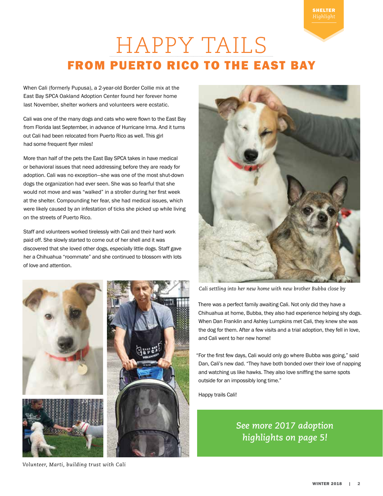# HAPPY TAILS FROM PUERTO RICO TO THE EAST BAY

When Cali (formerly Pupusa), a 2-year-old Border Collie mix at the East Bay SPCA Oakland Adoption Center found her forever home last November, shelter workers and volunteers were ecstatic.

Cali was one of the many dogs and cats who were flown to the East Bay from Florida last September, in advance of Hurricane Irma. And it turns out Cali had been relocated from Puerto Rico as well. This girl had some frequent flyer miles!

More than half of the pets the East Bay SPCA takes in have medical or behavioral issues that need addressing before they are ready for adoption. Cali was no exception—she was one of the most shut-down dogs the organization had ever seen. She was so fearful that she would not move and was "walked" in a stroller during her first week at the shelter. Compounding her fear, she had medical issues, which were likely caused by an infestation of ticks she picked up while living on the streets of Puerto Rico.

Staff and volunteers worked tirelessly with Cali and their hard work paid off. She slowly started to come out of her shell and it was discovered that she loved other dogs, especially little dogs. Staff gave her a Chihuahua "roommate" and she continued to blossom with lots of love and attention.



*Cali settling into her new home with new brother Bubba close by*

There was a perfect family awaiting Cali. Not only did they have a Chihuahua at home, Bubba, they also had experience helping shy dogs. When Dan Franklin and Ashley Lumpkins met Cali, they knew she was the dog for them. After a few visits and a trial adoption, they fell in love, and Cali went to her new home!

"For the first few days, Cali would only go where Bubba was going," said Dan, Cali's new dad. "They have both bonded over their love of napping and watching us like hawks. They also love sniffing the same spots outside for an impossibly long time."

Happy trails Cali!

### *See more 2017 adoption highlights on page 5!*

*Volunteer, Marti, building trust with Cali*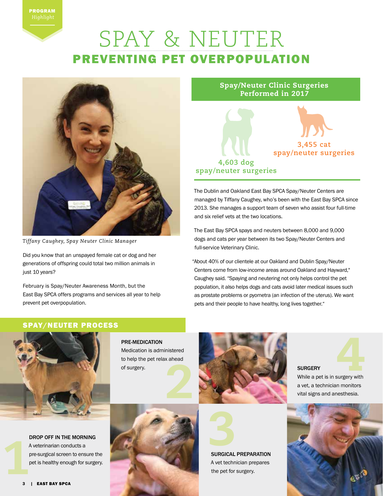## SPAY & NEUTER PREVENTING PET OVERPOPULATION



*Tiffany Caughey, Spay Neuter Clinic Manager*

Did you know that an unspayed female cat or dog and her generations of offspring could total two million animals in just 10 years?

February is Spay/Neuter Awareness Month, but the East Bay SPCA offers programs and services all year to help prevent pet overpopulation.

Spay/Neuter Clinic Surgeries Performed in 2017



The Dublin and Oakland East Bay SPCA Spay/Neuter Centers are managed by Tiffany Caughey, who's been with the East Bay SPCA since 2013. She manages a support team of seven who assist four full-time and six relief vets at the two locations.

The East Bay SPCA spays and neuters between 8,000 and 9,000 dogs and cats per year between its two Spay/Neuter Centers and full-service Veterinary Clinic.

"About 40% of our clientele at our Oakland and Dublin Spay/Neuter Centers come from low-income areas around Oakland and Hayward," Caughey said. "Spaying and neutering not only helps control the pet population, it also helps dogs and cats avoid later medical issues such as prostate problems or pyometra (an infection of the uterus). We want pets and their people to have healthy, long lives together."

### SPAY/NEUTER PROCESS



PRE-MEDICATION Medication is administered to help the pet relax ahead of surgery.

DROP OFF IN THE MORNING A veterinarian conducts a pre-surgical screen to ensure the pet is healthy enough for surgery.





A vet technician prepares the pet for surgery.



4 While a pet is in surgery with

a vet, a technician monitors vital signs and anesthesia.

**SURGERY**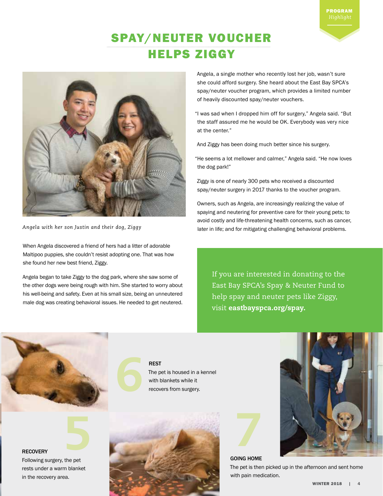### SPAY/NEUTER VOUCHER HELPS ZIGGY



*Angela with her son Justin and their dog, Ziggy*

When Angela discovered a friend of hers had a litter of adorable Maltipoo puppies, she couldn't resist adopting one. That was how she found her new best friend, Ziggy.

Angela began to take Ziggy to the dog park, where she saw some of the other dogs were being rough with him. She started to worry about his well-being and safety. Even at his small size, being an unneutered male dog was creating behavioral issues. He needed to get neutered.

Angela, a single mother who recently lost her job, wasn't sure she could afford surgery. She heard about the East Bay SPCA's spay/neuter voucher program, which provides a limited number of heavily discounted spay/neuter vouchers.

PROGRAM

"I was sad when I dropped him off for surgery," Angela said. "But the staff assured me he would be OK. Everybody was very nice at the center."

And Ziggy has been doing much better since his surgery.

"He seems a lot mellower and calmer," Angela said. "He now loves the dog park!"

Ziggy is one of nearly 300 pets who received a discounted spay/neuter surgery in 2017 thanks to the voucher program.

Owners, such as Angela, are increasingly realizing the value of spaying and neutering for preventive care for their young pets; to avoid costly and life-threatening health concerns, such as cancer, later in life; and for mitigating challenging behavioral problems.

If you are interested in donating to the East Bay SPCA's Spay & Neuter Fund to help spay and neuter pets like Ziggy, visit eastbayspca.org/spay.

**RECOVERY** 

Following surgery, the pet rests under a warm blanket in the recovery area.

5

REST The pet is housed in a kennel with blankets while it recovers from surgery.





GOING HOME



The pet is then picked up in the afternoon and sent home with pain medication.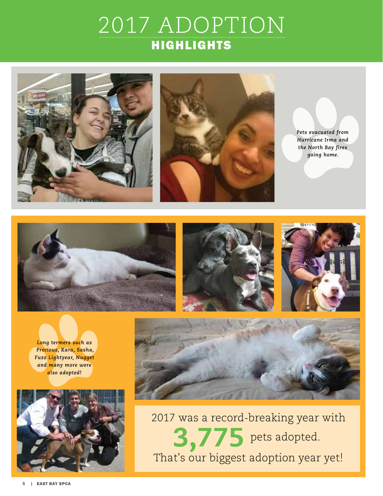# 2017 ADOPTION HIGHLIGHTS





*Pets evacuated from Hurricane Irma and the North Bay fires going home.*







*Long termers such as Precious, Kara, Sasha, Fuzz Lightyear, Nugget and many more were also adopted!*





2017 was a record-breaking year with That's our biggest adoption year yet!  $3,775$  pets adopted.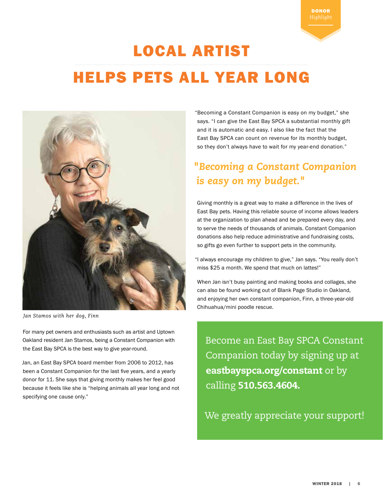#### WINTER 2018 | 6

# LOCAL ARTIST HELPS PETS ALL YEAR LONG



 *Jan Stamos with her dog, Finn*

For many pet owners and enthusiasts such as artist and Uptown Oakland resident Jan Stamos, being a Constant Companion with the East Bay SPCA is the best way to give year-round.

Jan, an East Bay SPCA board member from 2006 to 2012, has been a Constant Companion for the last five years, and a yearly donor for 11. She says that giving monthly makes her feel good because it feels like she is "helping animals all year long and not specifying one cause only."

"Becoming a Constant Companion is easy on my budget," she says. "I can give the East Bay SPCA a substantial monthly gift and it is automatic and easy. I also like the fact that the East Bay SPCA can count on revenue for its monthly budget, so they don't always have to wait for my year-end donation."

DONOR

### *"Becoming a Constant Companion is easy on my budget."*

Giving monthly is a great way to make a difference in the lives of East Bay pets. Having this reliable source of income allows leaders at the organization to plan ahead and be prepared every day, and to serve the needs of thousands of animals. Constant Companion donations also help reduce administrative and fundraising costs, so gifts go even further to support pets in the community.

"I always encourage my children to give," Jan says. "You really don't miss \$25 a month. We spend that much on lattes!"

When Jan isn't busy painting and making books and collages, she can also be found working out of Blank Page Studio in Oakland, and enjoying her own constant companion, Finn, a three-year-old Chihuahua/mini poodle rescue.

Become an East Bay SPCA Constant Companion today by signing up at eastbayspca.org/constant or by calling 510.563.4604.

We greatly appreciate your support!